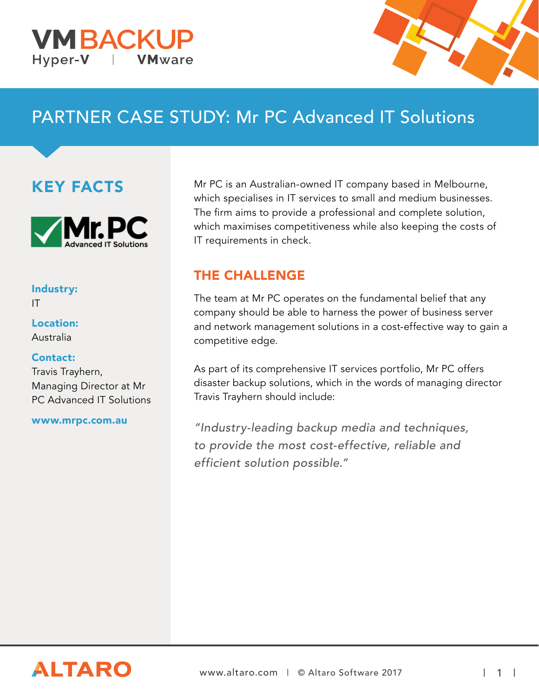



# PARTNER CASE STUDY: Mr PC Advanced IT Solutions

## KEY FACTS



#### Industry:

IT

Location: Australia

#### Contact:

Travis Trayhern, Managing Director at Mr PC Advanced IT Solutions

#### www.mrpc.com.au

Mr PC is an Australian-owned IT company based in Melbourne, which specialises in IT services to small and medium businesses. The firm aims to provide a professional and complete solution, which maximises competitiveness while also keeping the costs of IT requirements in check.

### THE CHALLENGE

The team at Mr PC operates on the fundamental belief that any company should be able to harness the power of business server and network management solutions in a cost-effective way to gain a competitive edge.

As part of its comprehensive IT services portfolio, Mr PC offers disaster backup solutions, which in the words of managing director Travis Trayhern should include:

"Industry-leading backup media and techniques, to provide the most cost-effective, reliable and efficient solution possible."